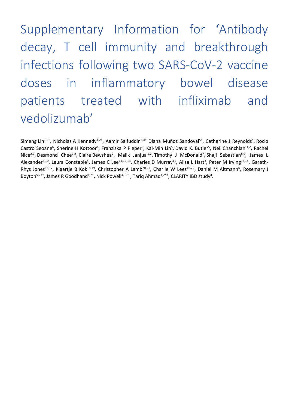Supplementary Information for 'Antibody decay, T cell immunity and breakthrough infections following two SARS-CoV-2 vaccine doses in inflammatory bowel disease patients treated with infliximab and vedolizumab'

Simeng Lin<sup>1,2†</sup>, Nicholas A Kennedy<sup>1,2†</sup>, Aamir Saifuddin<sup>3,4†</sup> Diana Muñoz Sandoval<sup>5†</sup>, Catherine J Reynolds<sup>5</sup>, Rocio Castro Seoane<sup>6</sup>, Sherine H Kottoor<sup>4</sup>, Franziska P Pieper<sup>5</sup>, Kai-Min Lin<sup>5</sup>, David K. Butler<sup>5</sup>, Neil Chanchlani<sup>1,2</sup>, Rachel Nice<sup>2,7</sup>, Desmond Chee<sup>1,2</sup>, Claire Bewshea<sup>2</sup>, Malik Janjua<sup>1,2</sup>, Timothy J McDonald<sup>7</sup>, Shaji Sebastian<sup>8,9</sup>, James L Alexander<sup>4,10</sup>, Laura Constable<sup>4</sup>, James C Lee<sup>11,12,13</sup>, Charles D Murray<sup>11</sup>, Ailsa L Hart<sup>3</sup>, Peter M Irving<sup>14,15</sup>, Gareth-Rhys Jones<sup>16,17</sup>, Klaartje B Kok<sup>18,19</sup>, Christopher A Lamb<sup>20,21</sup>, Charlie W Lees<sup>16,22</sup>, Daniel M Altmann<sup>6</sup>, Rosemary J Boyton<sup>5,23†</sup>, James R Goodhand<sup>1,2†</sup>, Nick Powell<sup>4,10†</sup>, Tariq Ahmad<sup>1,2\*†</sup>, CLARITY IBD study<sup>#</sup>.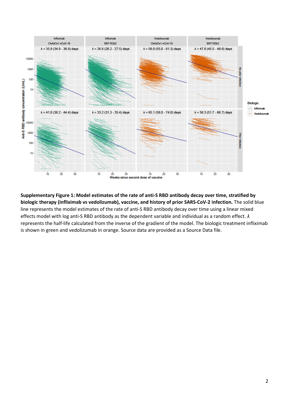

**Supplementary Figure 1: Model estimates of the rate of anti-S RBD antibody decay over time, stratified by biologic therapy (infliximab vs vedolizumab), vaccine, and history of prior SARS-CoV-2 infection.** The solid blue line represents the model estimates of the rate of anti-S RBD antibody decay over time using a linear mixed effects model with log anti-S RBD antibody as the dependent variable and individual as a random effect. *λ* represents the half-life calculated from the inverse of the gradient of the model. The biologic treatment infliximab is shown in green and vedolizumab in orange. Source data are provided as a Source Data file.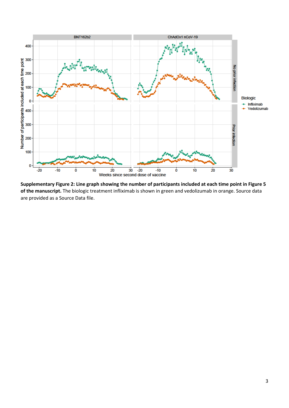

**Supplementary Figure 2: Line graph showing the number of participants included at each time point in Figure 5 of the manuscript.** The biologic treatment infliximab is shown in green and vedolizumab in orange. Source data are provided as a Source Data file.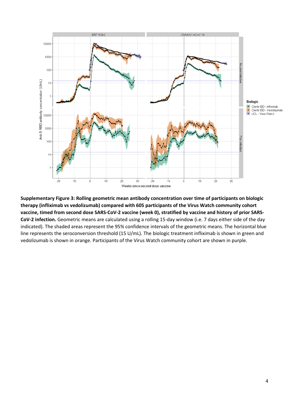

**Supplementary Figure 3: Rolling geometric mean antibody concentration over time of participants on biologic therapy (infliximab vs vedolizumab) compared with 605 participants of the Virus Watch community cohort vaccine, timed from second dose SARS-CoV-2 vaccine (week 0), stratified by vaccine and history of prior SARS-CoV-2 infection.** Geometric means are calculated using a rolling 15-day window (i.e. 7 days either side of the day indicated). The shaded areas represent the 95% confidence intervals of the geometric means. The horizontal blue line represents the seroconversion threshold (15 U/mL). The biologic treatment infliximab is shown in green and vedolizumab is shown in orange. Participants of the Virus Watch community cohort are shown in purple.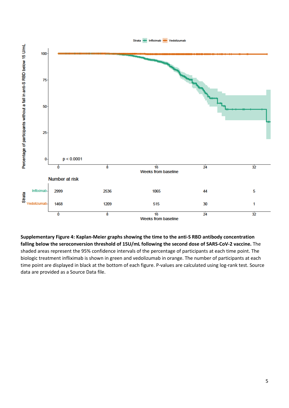

**Supplementary Figure 4: Kaplan-Meier graphs showing the time to the anti-S RBD antibody concentration falling below the seroconversion threshold of 15U/mL following the second dose of SARS-CoV-2 vaccine.** The shaded areas represent the 95% confidence intervals of the percentage of participants at each time point. The biologic treatment infliximab is shown in green and vedolizumab in orange. The number of participants at each time point are displayed in black at the bottom of each figure. P-values are calculated using log-rank test. Source data are provided as a Source Data file.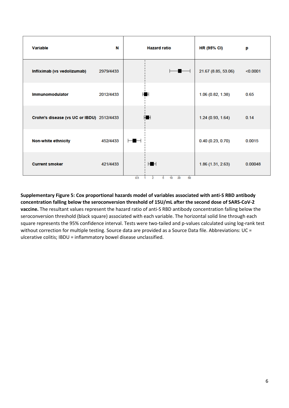| <b>Variable</b>                           | N         | <b>Hazard ratio</b>                                              | <b>HR (95% CI)</b>  | p        |
|-------------------------------------------|-----------|------------------------------------------------------------------|---------------------|----------|
| Infliximab (vs vedolizumab)               | 2979/4433 | $\overline{\phantom{a}}$                                         | 21.67 (8.85, 53.06) | < 0.0001 |
| <b>Immunomodulator</b>                    | 2012/4433 | н                                                                | 1.06 (0.82, 1.38)   | 0.65     |
| Crohn's disease (vs UC or IBDU) 2512/4433 |           | i H                                                              | 1.24(0.93, 1.64)    | 0.14     |
| <b>Non-white ethnicity</b>                | 452/4433  |                                                                  | 0.40(0.23, 0.70)    | 0.0015   |
| <b>Current smoker</b>                     | 421/4433  | HH<br>50<br>0.5<br>20<br>10 <sup>10</sup><br>$\overline{2}$<br>5 | 1.86(1.31, 2.63)    | 0.00048  |

**Supplementary Figure 5: Cox proportional hazards model of variables associated with anti-S RBD antibody concentration falling below the seroconversion threshold of 15U/mL after the second dose of SARS-CoV-2 vaccine.** The resultant values represent the hazard ratio of anti-S RBD antibody concentration falling below the seroconversion threshold (black square) associated with each variable. The horizontal solid line through each square represents the 95% confidence interval. Tests were two-tailed and p-values calculated using log-rank test without correction for multiple testing. Source data are provided as a Source Data file. Abbreviations: UC = ulcerative colitis; IBDU = inflammatory bowel disease unclassified.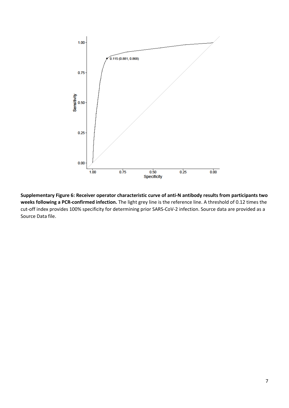

**Supplementary Figure 6: Receiver operator characteristic curve of anti-N antibody results from participants two weeks following a PCR-confirmed infection.** The light grey line is the reference line. A threshold of 0.12 times the cut-off index provides 100% specificity for determining prior SARS-CoV-2 infection. Source data are provided as a Source Data file.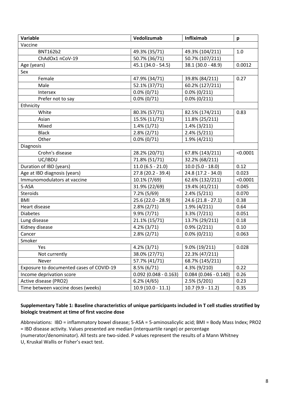| Variable                                 | Vedolizumab             | Infliximab              | p        |
|------------------------------------------|-------------------------|-------------------------|----------|
| Vaccine                                  |                         |                         |          |
| <b>BNT162b2</b>                          | 49.3% (35/71)           | 49.3% (104/211)         | 1.0      |
| ChAdOx1 nCoV-19                          | 50.7% (36/71)           | 50.7% (107/211)         |          |
| Age (years)                              | 45.1 (34.0 - 54.5)      | 38.1 (30.0 - 48.9)      | 0.0012   |
| Sex                                      |                         |                         |          |
| Female                                   | 47.9% (34/71)           | 39.8% (84/211)          | 0.27     |
| Male                                     | 52.1% (37/71)           | 60.2% (127/211)         |          |
| Intersex                                 | $0.0\% (0/71)$          | $0.0\% (0/211)$         |          |
| Prefer not to say                        | $0.0\%$ (0/71)          | $0.0\% (0/211)$         |          |
| Ethnicity                                |                         |                         |          |
| White                                    | 80.3% (57/71)           | 82.5% (174/211)         | 0.83     |
| Asian                                    | 15.5% (11/71)           | 11.8% (25/211)          |          |
| Mixed                                    | $1.4\%$ (1/71)          | $1.4\%$ (3/211)         |          |
| <b>Black</b>                             | $2.8\% (2/71)$          | $2.4\%$ (5/211)         |          |
| Other                                    | $0.0\%$ (0/71)          | $1.9\%$ (4/211)         |          |
| Diagnosis                                |                         |                         |          |
| Crohn's disease                          | 28.2% (20/71)           | 67.8% (143/211)         | < 0.0001 |
| UC/IBDU                                  | 71.8% (51/71)           | 32.2% (68/211)          |          |
| Duration of IBD (years)                  | $11.0(6.5 - 21.0)$      | $10.0 (5.0 - 18.0)$     | 0.12     |
| Age at IBD diagnosis (years)             | 27.8 (20.2 - 39.4)      | 24.8 (17.2 - 34.0)      | 0.023    |
| Immunomodulators at vaccine              | 10.1% (7/69)            | 62.6% (132/211)         | < 0.0001 |
| 5-ASA                                    | 31.9% (22/69)           | 19.4% (41/211)          | 0.045    |
| Steroids                                 | 7.2% (5/69)             | $2.4\%$ (5/211)         | 0.070    |
| BMI                                      | 25.6 (22.0 - 28.9)      | $24.6(21.8 - 27.1)$     | 0.38     |
| Heart disease                            | $2.8\% (2/71)$          | $1.9\%$ (4/211)         | 0.64     |
| <b>Diabetes</b>                          | 9.9% (7/71)             | $3.3\% (7/211)$         | 0.051    |
| Lung disease                             | 21.1% (15/71)           | 13.7% (29/211)          | 0.18     |
| Kidney disease                           | $4.2\%$ (3/71)          | $0.9\% (2/211)$         | 0.10     |
| Cancer                                   | $2.8\% (2/71)$          | $0.0\% (0/211)$         | 0.063    |
| Smoker                                   |                         |                         |          |
| Yes                                      | $4.2\%$ (3/71)          | 9.0% (19/211)           | 0.028    |
| Not currently                            | 38.0% (27/71)           | 22.3% (47/211)          |          |
| Never                                    | 57.7% (41/71)           | 68.7% (145/211)         |          |
| Exposure to documented cases of COVID-19 | $8.5\%$ (6/71)          | 4.3% (9/210)            | 0.22     |
| Income deprivation score                 | $0.092$ (0.048 - 0.163) | $0.084$ (0.046 - 0.140) | 0.26     |
| Active disease (PRO2)                    | $6.2\%$ (4/65)          | $2.5\%$ (5/201)         | 0.23     |
| Time between vaccine doses (weeks)       | $10.9(10.0 - 11.1)$     | $10.7(9.9 - 11.2)$      | 0.35     |

## **Supplementary Table 1: Baseline characteristics of unique participants included in T cell studies stratified by biologic treatment at time of first vaccine dose**

Abbreviations: IBD = inflammatory bowel disease; 5-ASA = 5-aminosalicylic acid; BMI = Body Mass Index; PRO2 = IBD disease activity. Values presented are median (interquartile range) or percentage (numerator/denominator). All tests are two-sided. P values represent the results of a Mann Whitney U, Kruskal Wallis or Fisher's exact test.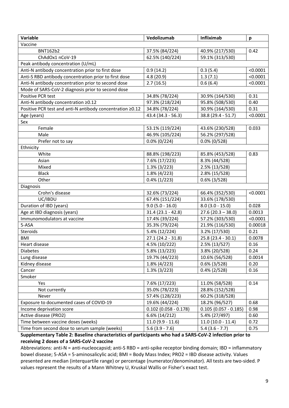| Variable                                                  | Vedolizumab             | Infliximab             | p        |
|-----------------------------------------------------------|-------------------------|------------------------|----------|
| Vaccine                                                   |                         |                        |          |
| <b>BNT162b2</b>                                           | 37.5% (84/224)          | 40.9% (217/530)        | 0.42     |
| ChAdOx1 nCoV-19                                           | 62.5% (140/224)         | 59.1% (313/530)        |          |
| Peak antibody concentration (U/mL)                        |                         |                        |          |
| Anti-N antibody concentration prior to first dose         | 0.9(14.2)               | 0.3(5.4)               | < 0.0001 |
| Anti-S RBD antibody concentration prior to first dose     | 4.8(20.9)               | 1.3(7.1)               | < 0.0001 |
| Anti-N antibody concentration prior to second dose        | 2.7(16.5)               | 0.6(6.4)               | < 0.0001 |
| Mode of SARS-CoV-2 diagnosis prior to second dose         |                         |                        |          |
| Positive PCR test                                         | 34.8% (78/224)          | 30.9% (164/530)        | 0.31     |
| Anti-N antibody concentration ≥0.12                       | 97.3% (218/224)         | 95.8% (508/530)        | 0.40     |
| Positive PCR test and anti-N antibody concentration ≥0.12 | 34.8% (78/224)          | 30.9% (164/530)        | 0.31     |
| Age (years)                                               | 43.4 (34.3 - 56.3)      | 38.8 (29.4 - 51.7)     | < 0.0001 |
| Sex                                                       |                         |                        |          |
| Female                                                    | 53.1% (119/224)         | 43.6% (230/528)        | 0.033    |
| Male                                                      | 46.9% (105/224)         | 56.2% (297/528)        |          |
| Prefer not to say                                         | $0.0\%$ (0/224)         | $0.0\%$ (0/528)        |          |
| Ethnicity                                                 |                         |                        |          |
| White                                                     | 88.8% (198/223)         | 85.8% (453/528)        | 0.83     |
| Asian                                                     | 7.6% (17/223)           | 8.3% (44/528)          |          |
| Mixed                                                     | $1.3\%$ (3/223)         | 2.5% (13/528)          |          |
| <b>Black</b>                                              | 1.8% (4/223)            | 2.8% (15/528)          |          |
| Other                                                     | $0.4\%$ (1/223)         | $0.6\%$ (3/528)        |          |
| Diagnosis                                                 |                         |                        |          |
| Crohn's disease                                           | 32.6% (73/224)          | 66.4% (352/530)        | < 0.0001 |
| UC/IBDU                                                   | 67.4% (151/224)         | 33.6% (178/530)        |          |
| Duration of IBD (years)                                   | $9.0$ (5.0 - 16.0)      | $8.0(3.0 - 15.0)$      | 0.028    |
| Age at IBD diagnosis (years)                              | $31.4(23.1 - 42.8)$     | $27.6(20.3 - 38.0)$    | 0.0013   |
| Immunomodulators at vaccine                               | 17.4% (39/224)          | 57.2% (303/530)        | < 0.0001 |
| 5-ASA                                                     | 35.3% (79/224)          | 21.9% (116/530)        | 0.00018  |
| Steroids                                                  | 5.4% (12/224)           | 3.2% (17/530)          | 0.21     |
| <b>BMI</b>                                                | $27.1(24.2 - 31.8)$     | 25.8 (23.4 - 30.1)     | 0.0078   |
| Heart disease                                             | 4.5% (10/222)           | 2.5% (13/527)          | 0.16     |
| Diabetes                                                  | 5.8% (13/223)           | 3.8% (20/528)          | 0.24     |
| Lung disease                                              | 19.7% (44/223)          | 10.6% (56/528)         | 0.0014   |
| Kidney disease                                            | 1.8% (4/223)            | $0.6\%$ (3/528)        | 0.20     |
| Cancer                                                    | $1.3\%$ (3/223)         | $0.4\%$ (2/528)        | 0.16     |
| Smoker                                                    |                         |                        |          |
| Yes                                                       | 7.6% (17/223)           | 11.0% (58/528)         | 0.14     |
| Not currently                                             | 35.0% (78/223)          | 28.8% (152/528)        |          |
| Never                                                     | 57.4% (128/223)         | 60.2% (318/528)        |          |
| Exposure to documented cases of COVID-19                  | 19.6% (44/224)          | 18.2% (96/527)         | 0.68     |
| Income deprivation score                                  | $0.102$ (0.058 - 0.178) | $0.105(0.057 - 0.185)$ | 0.98     |
| Active disease (PRO2)                                     | 6.6% (14/212)           | 5.4% (27/497)          | 0.60     |
| Time between vaccine doses (weeks)                        | $11.0(9.9 - 11.6)$      | $11.0(10.0 - 11.4)$    | 0.72     |
| Time from second dose to serum sample (weeks)             | $5.6(3.9 - 7.6)$        | $5.4(3.6 - 7.7)$       | 0.75     |

## **Supplementary Table 2: Baseline characteristics of participants who had a SARS-CoV-2 infection prior to receiving 2 doses of a SARS-CoV-2 vaccine**

Abbreviations: anti-N = anti-nucleocapsid; anti-S RBD = anti-spike receptor binding domain; IBD = inflammatory bowel disease; 5-ASA = 5-aminosalicylic acid; BMI = Body Mass Index; PRO2 = IBD disease activity. Values presented are median (interquartile range) or percentage (numerator/denominator). All tests are two-sided. P values represent the results of a Mann Whitney U, Kruskal Wallis or Fisher's exact test.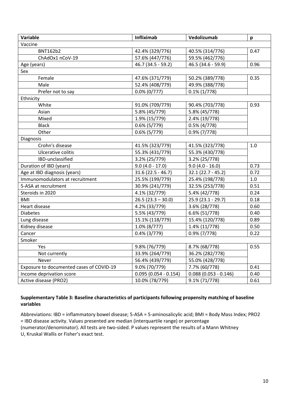| Variable                                 | Infliximab             | Vedolizumab            | p       |  |
|------------------------------------------|------------------------|------------------------|---------|--|
| Vaccine                                  |                        |                        |         |  |
| <b>BNT162b2</b>                          | 42.4% (329/776)        | 40.5% (314/776)        | 0.47    |  |
| ChAdOx1 nCoV-19                          | 57.6% (447/776)        | 59.5% (462/776)        |         |  |
| Age (years)                              | 46.7 (34.5 - 59.2)     | 46.5 (34.6 - 59.9)     | 0.96    |  |
| Sex                                      |                        |                        |         |  |
| Female                                   | 47.6% (371/779)        | 50.2% (389/778)        | 0.35    |  |
| Male                                     | 52.4% (408/779)        | 49.9% (388/778)        |         |  |
| Prefer not to say                        | $0.0\%$ (0/777)        | $0.1\% (1/778)$        |         |  |
| Ethnicity                                |                        |                        |         |  |
| White                                    | 91.0% (709/779)        | 90.4% (703/778)        | 0.93    |  |
| Asian                                    | 5.8% (45/779)          | 5.8% (45/778)          |         |  |
| Mixed                                    | 1.9% (15/779)          | 2.4% (19/778)          |         |  |
| <b>Black</b>                             | $0.6\%$ (5/779)        | $0.5\%$ (4/778)        |         |  |
| Other                                    | $0.6\%$ (5/779)        | $0.9\%$ (7/778)        |         |  |
| Diagnosis                                |                        |                        |         |  |
| Crohn's disease                          | 41.5% (323/779)        | 41.5% (323/778)        | 1.0     |  |
| Ulcerative colitis                       | 55.3% (431/779)        | 55.3% (430/778)        |         |  |
| IBD-unclassified                         | 3.2% (25/779)          | 3.2% (25/778)          |         |  |
| Duration of IBD (years)                  | $9.0(4.0 - 17.0)$      | $9.0(4.0 - 16.0)$      | 0.73    |  |
| Age at IBD diagnosis (years)             | $31.6(22.5 - 46.7)$    | 32.1 (22.7 - 45.2)     | 0.72    |  |
| Immunomodulators at recruitment          | 25.5% (199/779)        | 25.4% (198/778)        | $1.0\,$ |  |
| 5-ASA at recruitment                     | 30.9% (241/779)        | 32.5% (253/778)        | 0.51    |  |
| Steroids in 2020                         | 4.1% (32/779)          | 5.4% (42/778)          | 0.24    |  |
| <b>BMI</b>                               | $26.5(23.3 - 30.0)$    | 25.9 (23.1 - 29.7)     | 0.18    |  |
| Heart disease                            | 4.2% (33/779)          | 3.6% (28/778)          | 0.60    |  |
| <b>Diabetes</b>                          | 5.5% (43/779)          | 6.6% (51/778)          | 0.40    |  |
| Lung disease                             | 15.1% (118/779)        | 15.4% (120/778)        | 0.89    |  |
| Kidney disease                           | $1.0\%$ (8/777)        | 1.4% (11/778)          | 0.50    |  |
| Cancer                                   | $0.4\%$ (3/779)        | $0.9\%$ (7/778)        | 0.22    |  |
| Smoker                                   |                        |                        |         |  |
| <b>Yes</b>                               | 9.8% (76/779)          | 8.7% (68/778)          | 0.55    |  |
| Not currently                            | 33.9% (264/779)        | 36.2% (282/778)        |         |  |
| Never                                    | 56.4% (439/779)        | 55.0% (428/778)        |         |  |
| Exposure to documented cases of COVID-19 | 9.0% (70/779)          | 7.7% (60/778)          | 0.41    |  |
| Income deprivation score                 | $0.095(0.054 - 0.154)$ | $0.088(0.053 - 0.146)$ | 0.40    |  |
| Active disease (PRO2)                    | 10.0% (78/779)         | 9.1% (71/778)          | 0.61    |  |

## **Supplementary Table 3: Baseline characteristics of participants following propensity matching of baseline variables**

Abbreviations: IBD = inflammatory bowel disease; 5-ASA = 5-aminosalicylic acid; BMI = Body Mass Index; PRO2 = IBD disease activity. Values presented are median (interquartile range) or percentage (numerator/denominator). All tests are two-sided. P values represent the results of a Mann Whitney U, Kruskal Wallis or Fisher's exact test.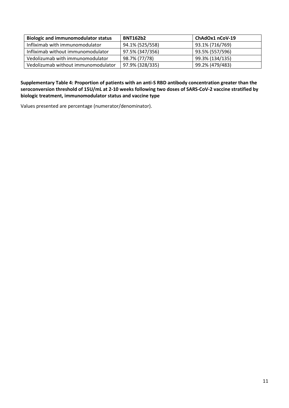| <b>Biologic and immunomodulator status</b> | <b>BNT162b2</b> | ChAdOx1 nCoV-19 |
|--------------------------------------------|-----------------|-----------------|
| Infliximab with immunomodulator            | 94.1% (525/558) | 93.1% (716/769) |
| Infliximab without immunomodulator         | 97.5% (347/356) | 93.5% (557/596) |
| Vedolizumab with immunomodulator           | 98.7% (77/78)   | 99.3% (134/135) |
| Vedolizumab without immunomodulator        | 97.9% (328/335) | 99.2% (479/483) |

**Supplementary Table 4: Proportion of patients with an anti-S RBD antibody concentration greater than the seroconversion threshold of 15U/mL at 2-10 weeks following two doses of SARS-CoV-2 vaccine stratified by biologic treatment, immunomodulator status and vaccine type** 

Values presented are percentage (numerator/denominator).